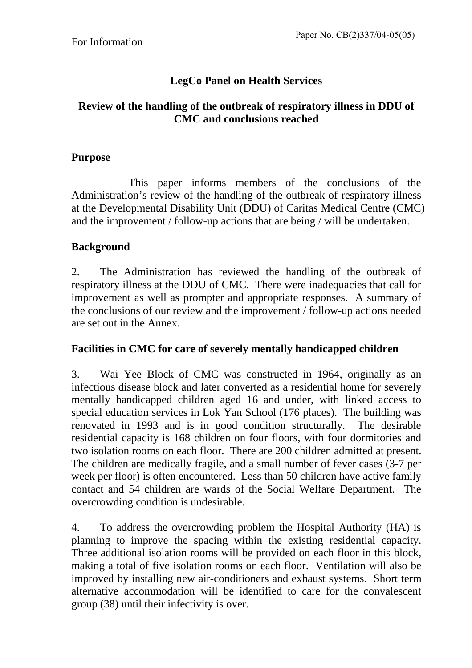# **LegCo Panel on Health Services**

## **Review of the handling of the outbreak of respiratory illness in DDU of CMC and conclusions reached**

## **Purpose**

 This paper informs members of the conclusions of the Administration's review of the handling of the outbreak of respiratory illness at the Developmental Disability Unit (DDU) of Caritas Medical Centre (CMC) and the improvement / follow-up actions that are being / will be undertaken.

## **Background**

2. The Administration has reviewed the handling of the outbreak of respiratory illness at the DDU of CMC. There were inadequacies that call for improvement as well as prompter and appropriate responses. A summary of the conclusions of our review and the improvement / follow-up actions needed are set out in the Annex.

#### **Facilities in CMC for care of severely mentally handicapped children**

3. Wai Yee Block of CMC was constructed in 1964, originally as an infectious disease block and later converted as a residential home for severely mentally handicapped children aged 16 and under, with linked access to special education services in Lok Yan School (176 places). The building was renovated in 1993 and is in good condition structurally. The desirable residential capacity is 168 children on four floors, with four dormitories and two isolation rooms on each floor. There are 200 children admitted at present. The children are medically fragile, and a small number of fever cases (3-7 per week per floor) is often encountered. Less than 50 children have active family contact and 54 children are wards of the Social Welfare Department. The overcrowding condition is undesirable.

4. To address the overcrowding problem the Hospital Authority (HA) is planning to improve the spacing within the existing residential capacity. Three additional isolation rooms will be provided on each floor in this block, making a total of five isolation rooms on each floor. Ventilation will also be improved by installing new air-conditioners and exhaust systems. Short term alternative accommodation will be identified to care for the convalescent group (38) until their infectivity is over.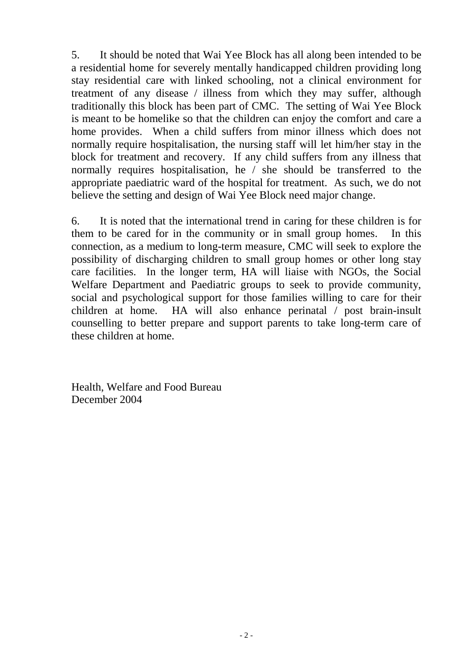5. It should be noted that Wai Yee Block has all along been intended to be a residential home for severely mentally handicapped children providing long stay residential care with linked schooling, not a clinical environment for treatment of any disease / illness from which they may suffer, although traditionally this block has been part of CMC. The setting of Wai Yee Block is meant to be homelike so that the children can enjoy the comfort and care a home provides. When a child suffers from minor illness which does not normally require hospitalisation, the nursing staff will let him/her stay in the block for treatment and recovery. If any child suffers from any illness that normally requires hospitalisation, he / she should be transferred to the appropriate paediatric ward of the hospital for treatment. As such, we do not believe the setting and design of Wai Yee Block need major change.

6. It is noted that the international trend in caring for these children is for them to be cared for in the community or in small group homes. In this connection, as a medium to long-term measure, CMC will seek to explore the possibility of discharging children to small group homes or other long stay care facilities. In the longer term, HA will liaise with NGOs, the Social Welfare Department and Paediatric groups to seek to provide community, social and psychological support for those families willing to care for their children at home. HA will also enhance perinatal / post brain-insult counselling to better prepare and support parents to take long-term care of these children at home.

Health, Welfare and Food Bureau December 2004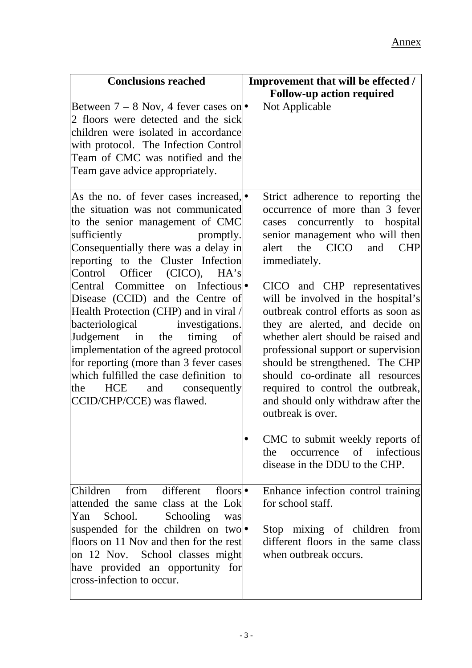| <b>Conclusions reached</b>                                                                                                                                                                                                                                                                                                                                                       | Improvement that will be effected /<br><b>Follow-up action required</b>                                                                                                                                                                                                                                                                                                                          |
|----------------------------------------------------------------------------------------------------------------------------------------------------------------------------------------------------------------------------------------------------------------------------------------------------------------------------------------------------------------------------------|--------------------------------------------------------------------------------------------------------------------------------------------------------------------------------------------------------------------------------------------------------------------------------------------------------------------------------------------------------------------------------------------------|
| Between $7 - 8$ Nov, 4 fever cases on<br>2 floors were detected and the sick<br>children were isolated in accordance<br>with protocol. The Infection Control<br>Team of CMC was notified and the<br>Team gave advice appropriately.                                                                                                                                              | Not Applicable                                                                                                                                                                                                                                                                                                                                                                                   |
| As the no. of fever cases increased, •<br>the situation was not communicated<br>to the senior management of CMC<br>sufficiently<br>promptly.<br>Consequentially there was a delay in<br>reporting to the Cluster Infection<br>Control<br>Officer (CICO), HA's                                                                                                                    | Strict adherence to reporting the<br>occurrence of more than 3 fever<br>cases concurrently to hospital<br>senior management who will then<br>the CICO<br>alert<br>and<br><b>CHP</b><br>immediately.                                                                                                                                                                                              |
| Central Committee on Infectious<br>Disease (CCID) and the Centre of<br>Health Protection (CHP) and in viral /<br>bacteriological investigations.<br>Judgement in the<br>timing<br>of<br>implementation of the agreed protocol<br>for reporting (more than 3 fever cases<br>which fulfilled the case definition to<br>the<br>HCE<br>and consequently<br>CCID/CHP/CCE) was flawed. | CICO and CHP representatives<br>will be involved in the hospital's<br>outbreak control efforts as soon as<br>they are alerted, and decide on<br>whether alert should be raised and<br>professional support or supervision<br>should be strengthened. The CHP<br>should co-ordinate all resources<br>required to control the outbreak,<br>and should only withdraw after the<br>outbreak is over. |
|                                                                                                                                                                                                                                                                                                                                                                                  | CMC to submit weekly reports of<br>the occurrence of infectious<br>disease in the DDU to the CHP.                                                                                                                                                                                                                                                                                                |
| Children from different<br>floors $\bullet$<br>attended the same class at the Lok<br>School.<br>Schooling<br>Yan<br>was<br>suspended for the children on two<br>floors on 11 Nov and then for the rest<br>on 12 Nov. School classes might<br>have provided an opportunity for<br>cross-infection to occur.                                                                       | Enhance infection control training<br>for school staff.<br>Stop mixing of children from<br>different floors in the same class<br>when outbreak occurs.                                                                                                                                                                                                                                           |